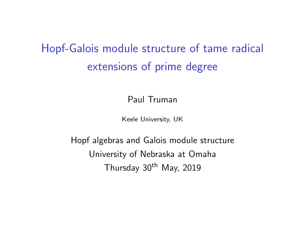# <span id="page-0-0"></span>Hopf-Galois module structure of tame radical extensions of prime degree

Paul Truman

Keele University, UK

Hopf algebras and Galois module structure University of Nebraska at Omaha Thursday 30<sup>th</sup> May, 2019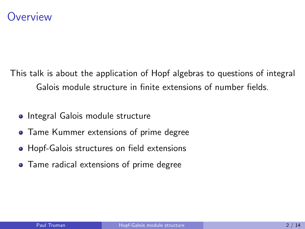This talk is about the application of Hopf algebras to questions of integral Galois module structure in finite extensions of number fields.

- Integral Galois module structure
- **Tame Kummer extensions of prime degree**
- Hopf-Galois structures on field extensions
- Tame radical extensions of prime degree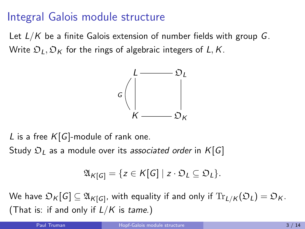### Integral Galois module structure

Let  $L/K$  be a finite Galois extension of number fields with group G. Write  $\mathfrak{O}_L, \mathfrak{O}_K$  for the rings of algebraic integers of L, K.



L is a free  $K[G]$ -module of rank one. Study  $\mathfrak{O}_L$  as a module over its associated order in  $K[G]$ 

$$
\mathfrak{A}_{K[G]} = \{ z \in K[G] \mid z \cdot \mathfrak{O}_L \subseteq \mathfrak{O}_L \}.
$$

We have  $\mathfrak{O}_K[G]\subseteq \mathfrak{A}_{K[G]}$ , with equality if and only if  $\text{Tr}_{L/K}(\mathfrak{O}_L)=\mathfrak{O}_K.$ (That is: if and only if  $L/K$  is tame.)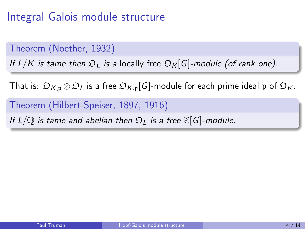## Integral Galois module structure

Theorem (Noether, 1932)

If  $L/K$  is tame then  $\mathfrak{D}_L$  is a locally free  $\mathfrak{D}_K[G]$ -module (of rank one).

That is:  $\mathfrak{O}_{K,\mathfrak{p}} \otimes \mathfrak{O}_L$  is a free  $\mathfrak{O}_{K,\mathfrak{p}}[G]$ -module for each prime ideal  $\mathfrak{p}$  of  $\mathfrak{O}_K$ .

Theorem (Hilbert-Speiser, 1897, 1916)

If  $L/\mathbb{Q}$  is tame and abelian then  $\mathfrak{O}_L$  is a free  $\mathbb{Z}[G]$ -module.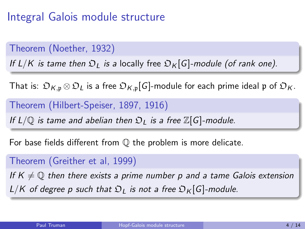## Integral Galois module structure

Theorem (Noether, 1932)

If  $L/K$  is tame then  $\mathfrak{D}_L$  is a locally free  $\mathfrak{D}_K[G]$ -module (of rank one).

That is:  $\mathfrak{O}_{K,\mathfrak{p}} \otimes \mathfrak{O}_L$  is a free  $\mathfrak{O}_{K,\mathfrak{p}}[G]$ -module for each prime ideal  $\mathfrak{p}$  of  $\mathfrak{O}_K$ .

Theorem (Hilbert-Speiser, 1897, 1916)

If  $L/\mathbb{O}$  is tame and abelian then  $\mathfrak{O}_L$  is a free  $\mathbb{Z}[G]$ -module.

For base fields different from  $\mathbb Q$  the problem is more delicate.

Theorem (Greither et al, 1999)

If  $K \neq \mathbb{Q}$  then there exists a prime number p and a tame Galois extension  $L/K$  of degree p such that  $\mathfrak{O}_L$  is not a free  $\mathfrak{O}_K[G]$ -module.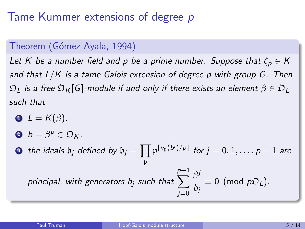### Tame Kummer extensions of degree p

#### Theorem (Gómez Ayala, 1994)

Let K be a number field and p be a prime number. Suppose that  $\zeta_p \in K$ and that  $L/K$  is a tame Galois extension of degree p with group  $G$ . Then  $\mathfrak{D}_L$  is a free  $\mathfrak{D}_K[G]$ -module if and only if there exists an element  $\beta \in \mathfrak{D}_L$ such that

- $\bullet$   $L = K(\beta)$ ,
- 2  $b = \beta^p \in \mathfrak{O}_K$ ,

 $\bullet\quad$  the ideals  $\mathfrak{b}_j$  defined by  $\mathfrak{b}_j=\prod\mathfrak{p}^{\lfloor\mathfrak{v}_{\mathfrak{p}}(b^j)/p\rfloor}$  for  $j=0,1,\ldots,p-1$  are p principal, with generators  $b_j$  such that  $\sum$ p−1  $j=0$  $\beta^j$  $\frac{\partial}{\partial b_j} \equiv 0 \pmod{p\mathfrak{O}_L}.$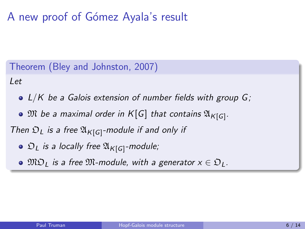## A new proof of Gómez Ayala's result

Theorem (Bley and Johnston, 2007)

Let

- $\bullet$  L/K be a Galois extension of number fields with group G;
- ${\mathfrak M}$  be a maximal order in  ${\mathcal K}[{\mathsf G}]$  that contains  ${\mathfrak A}_{{\mathcal K}[{\mathsf G}]}$ .

Then  $\mathfrak{O}_L$  is a free  $\mathfrak{A}_{K[G]}$ -module if and only if

- $\mathfrak{O}_L$  is a locally free  $\mathfrak{A}_{\mathcal{K}[G]}$ -module;
- $\bullet$   $\mathfrak{MO}_1$  is a free  $\mathfrak{M}$ -module, with a generator  $x \in \mathfrak{O}_L$ .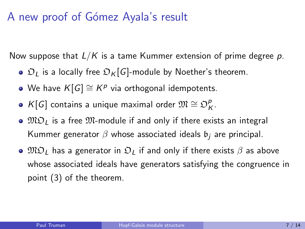#### A new proof of Gómez Ayala's result

Now suppose that  $L/K$  is a tame Kummer extension of prime degree p.

- $\bullet$   $\mathfrak{D}_L$  is a locally free  $\mathfrak{D}_K[G]$ -module by Noether's theorem.
- We have  $K[G] \cong K^{\rho}$  via orthogonal idempotents.
- K[G] contains a unique maximal order  $\mathfrak{M} \cong \mathfrak{O}_k^p$ ρ<br>Κ
- $\bullet$   $\mathfrak{MO}_{I}$  is a free  $\mathfrak{M}$ -module if and only if there exists an integral Kummer generator  $\beta$  whose associated ideals  $\mathfrak{b}_i$  are principal.
- $\bullet$   $\mathfrak{MO}_{\mathfrak{l}}$  has a generator in  $\mathfrak{O}_{\mathfrak{l}}$  if and only if there exists  $\beta$  as above whose associated ideals have generators satisfying the congruence in point (3) of the theorem.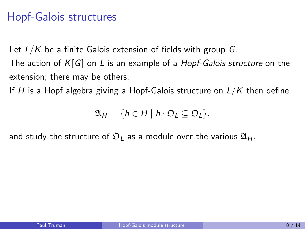Let  $L/K$  be a finite Galois extension of fields with group G.

The action of  $K[G]$  on L is an example of a *Hopf-Galois structure* on the extension; there may be others.

If H is a Hopf algebra giving a Hopf-Galois structure on  $L/K$  then define

 $\mathfrak{A}_H = \{ h \in H \mid h \cdot \mathfrak{O}_L \subseteq \mathfrak{O}_L \},$ 

and study the structure of  $\mathfrak{D}_I$  as a module over the various  $\mathfrak{A}_H$ .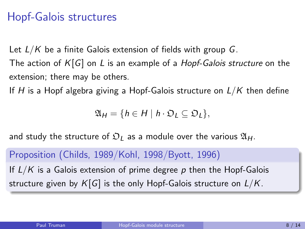Let  $L/K$  be a finite Galois extension of fields with group G.

The action of  $K[G]$  on L is an example of a *Hopf-Galois structure* on the extension; there may be others.

If H is a Hopf algebra giving a Hopf-Galois structure on  $L/K$  then define

 $\mathfrak{A}_H = \{ h \in H \mid h \cdot \mathfrak{O}_L \subseteq \mathfrak{O}_L \},$ 

and study the structure of  $\mathfrak{D}_L$  as a module over the various  $\mathfrak{A}_H$ .

Proposition (Childs, 1989/Kohl, 1998/Byott, 1996)

If  $L/K$  is a Galois extension of prime degree p then the Hopf-Galois structure given by  $K[G]$  is the only Hopf-Galois structure on  $L/K$ .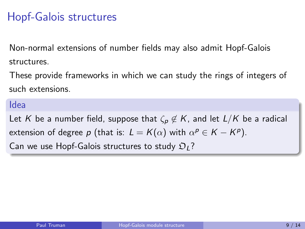Non-normal extensions of number fields may also admit Hopf-Galois structures.

These provide frameworks in which we can study the rings of integers of such extensions.

#### Idea

Let K be a number field, suppose that  $\zeta_p \notin K$ , and let  $L/K$  be a radical extension of degree p (that is:  $L = K(\alpha)$  with  $\alpha^p \in K - K^p$ ). Can we use Hopf-Galois structures to study  $\mathfrak{O}_1$ ?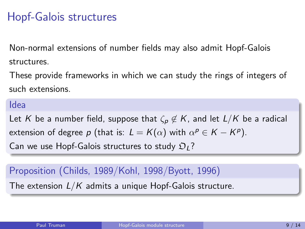Non-normal extensions of number fields may also admit Hopf-Galois structures.

These provide frameworks in which we can study the rings of integers of such extensions.

#### Idea

Let K be a number field, suppose that  $\zeta_p \notin K$ , and let  $L/K$  be a radical extension of degree p (that is:  $L = K(\alpha)$  with  $\alpha^p \in K - K^p$ ). Can we use Hopf-Galois structures to study  $\mathfrak{O}_1$ ?

#### Proposition (Childs, 1989/Kohl, 1998/Byott, 1996)

The extension  $L/K$  admits a unique Hopf-Galois structure.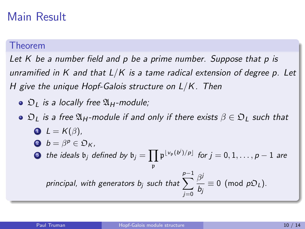#### Main Result

#### Theorem

Let  $K$  be a number field and  $p$  be a prime number. Suppose that  $p$  is unramified in K and that  $L/K$  is a tame radical extension of degree p. Let H give the unique Hopf-Galois structure on L/K. Then

- $\odot$   $\mathfrak{D}_1$  is a locally free  $\mathfrak{A}_H$ -module;
- $\circ$   $\mathfrak{D}_L$  is a free  $\mathfrak{A}_H$ -module if and only if there exists  $\beta \in \mathfrak{D}_L$  such that  $L = K(\beta)$ , 2  $b = \beta^p \in \mathfrak{O}_K$ ,
	- $\textbf{3}\ \ \ \textit{the ideals}\ \ \mathfrak{b}_j \ \ \textit{defined by}\ \ \mathfrak{b}_j = \prod \mathfrak{p}^{\lfloor \mathfrak{v}_{\mathfrak{p}}(b^j)/p\rfloor} \ \ \textit{for}\ j = 0, 1, \ldots, p-1\ \ \textit{are}$ p  $\sum_{j=1}^{p-1} \beta^j$

principal, with generators 
$$
b_j
$$
 such that  $\sum_{j=0}^{\infty} \frac{\beta^j}{b_j} \equiv 0 \pmod{p\mathfrak{D}_L}$ .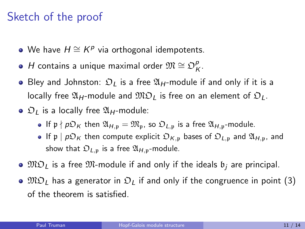#### Sketch of the proof

- We have  $H \cong K^{\rho}$  via orthogonal idempotents.
- H contains a unique maximal order  $\mathfrak{M} \cong \mathfrak{O}_k^p$ ρ<br>Κ
- Bley and Johnston:  $\mathfrak{D}_I$  is a free  $\mathfrak{A}_H$ -module if and only if it is a locally free  $\mathfrak{A}_H$ -module and  $\mathfrak{MO}_L$  is free on an element of  $\mathfrak{O}_L$ .
- $\odot$   $\mathfrak{D}_I$  is a locally free  $\mathfrak{A}_H$ -module:
	- If  $p \nmid p\mathfrak{D}_K$  then  $\mathfrak{A}_{H,p} = \mathfrak{M}_p$ , so  $\mathfrak{D}_{L,p}$  is a free  $\mathfrak{A}_{H,p}$ -module.
	- If p  $|pD_K|$  then compute explicit  $D_{K,p}$  bases of  $D_{L,p}$  and  $\mathfrak{A}_{H,p}$ , and show that  $\mathfrak{O}_{L,p}$  is a free  $\mathfrak{A}_{H,p}$ -module.
- $\bullet$   $\mathfrak{MO}_L$  is a free  $\mathfrak{M}$ -module if and only if the ideals  $\mathfrak{b}_i$  are principal.
- $\bullet$   $\mathfrak{MO}_l$  has a generator in  $\mathfrak{O}_l$  if and only if the congruence in point (3) of the theorem is satisfied.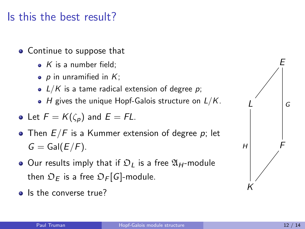#### Is this the best result?

- Continue to suppose that
	- $\bullet$  K is a number field:
	- $p$  in unramified in  $K$ ;
	- $L/K$  is a tame radical extension of degree p;
	- $\bullet$  H gives the unique Hopf-Galois structure on  $L/K$ .

• Let 
$$
F = K(\zeta_p)
$$
 and  $E = FL$ .

- Then  $E/F$  is a Kummer extension of degree p; let  $G = Gal(E/F)$ .
- $\bullet$  Our results imply that if  $\mathfrak{O}_L$  is a free  $\mathfrak{A}_H$ -module then  $\mathfrak{O}_E$  is a free  $\mathfrak{O}_F[G]$ -module.
- **a** Is the converse true?

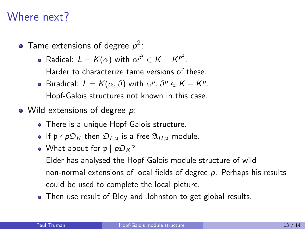#### Where next?

- Tame extensions of degree  $p^2$ :
	- Radical:  $L = K(\alpha)$  with  $\alpha^{p^2} \in K K^{p^2}$ . Harder to characterize tame versions of these.
	- Biradical:  $L = K(\alpha, \beta)$  with  $\alpha^p, \beta^p \in K K^p$ . Hopf-Galois structures not known in this case.
- Wild extensions of degree p:
	- There is a unique Hopf-Galois structure.
	- If  $p \nmid p\mathfrak{D}_K$  then  $\mathfrak{D}_{L,p}$  is a free  $\mathfrak{A}_{H,p}$ -module.
	- What about for  $p | p \mathcal{D}_K?$

Elder has analysed the Hopf-Galois module structure of wild non-normal extensions of local fields of degree  $p$ . Perhaps his results could be used to complete the local picture.

• Then use result of Bley and Johnston to get global results.